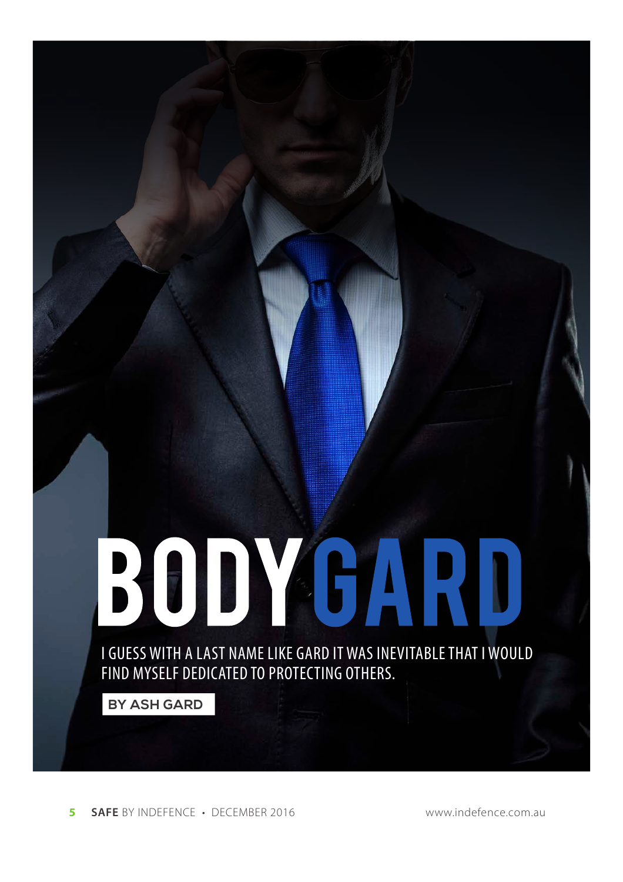

BODYGARD

**BY ASH GARD**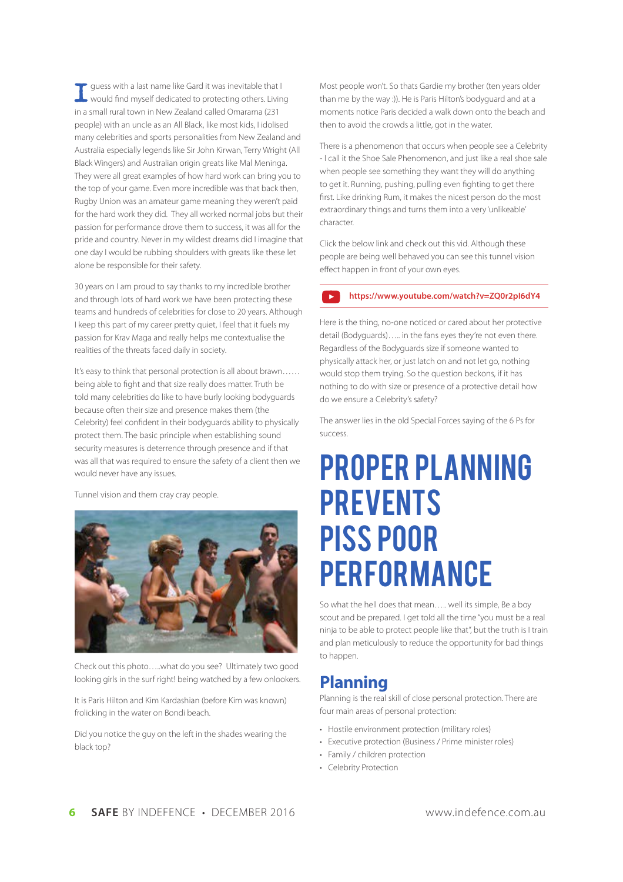**I**guess with a last name like Gard it was inevitable that I would find myself dedicated to protecting others. Living in a small rural town in New Zealand called Omarama (231 people) with an uncle as an All Black, like most kids, I idolised many celebrities and sports personalities from New Zealand and Australia especially legends like Sir John Kirwan, Terry Wright (All Black Wingers) and Australian origin greats like Mal Meninga. They were all great examples of how hard work can bring you to the top of your game. Even more incredible was that back then, Rugby Union was an amateur game meaning they weren't paid for the hard work they did. They all worked normal jobs but their passion for performance drove them to success, it was all for the pride and country. Never in my wildest dreams did I imagine that one day I would be rubbing shoulders with greats like these let alone be responsible for their safety.

30 years on I am proud to say thanks to my incredible brother and through lots of hard work we have been protecting these teams and hundreds of celebrities for close to 20 years. Although I keep this part of my career pretty quiet, I feel that it fuels my passion for Krav Maga and really helps me contextualise the realities of the threats faced daily in society.

It's easy to think that personal protection is all about brawn…… being able to fight and that size really does matter. Truth be told many celebrities do like to have burly looking bodyguards because often their size and presence makes them (the Celebrity) feel confident in their bodyguards ability to physically protect them. The basic principle when establishing sound security measures is deterrence through presence and if that was all that was required to ensure the safety of a client then we would never have any issues.

Tunnel vision and them cray cray people.



Check out this photo…..what do you see? Ultimately two good looking girls in the surf right! being watched by a few onlookers.

It is Paris Hilton and Kim Kardashian (before Kim was known) frolicking in the water on Bondi beach.

Did you notice the guy on the left in the shades wearing the black top?

Most people won't. So thats Gardie my brother (ten years older than me by the way :)). He is Paris Hilton's bodyguard and at a moments notice Paris decided a walk down onto the beach and then to avoid the crowds a little, got in the water.

There is a phenomenon that occurs when people see a Celebrity - I call it the Shoe Sale Phenomenon, and just like a real shoe sale when people see something they want they will do anything to get it. Running, pushing, pulling even fighting to get there first. Like drinking Rum, it makes the nicest person do the most extraordinary things and turns them into a very 'unlikeable' character.

Click the below link and check out this vid. Although these people are being well behaved you can see this tunnel vision effect happen in front of your own eyes.

#### **https://www.youtube.com/watch?v=ZQ0r2pI6dY4**

Here is the thing, no-one noticed or cared about her protective detail (Bodyguards)….. in the fans eyes they're not even there. Regardless of the Bodyguards size if someone wanted to physically attack her, or just latch on and not let go, nothing would stop them trying. So the question beckons, if it has nothing to do with size or presence of a protective detail how do we ensure a Celebrity's safety?

The answer lies in the old Special Forces saying of the 6 Ps for success.

# Proper Planning **PREVENTS** Piss Poor **PERFORMANCE**

So what the hell does that mean….. well its simple, Be a boy scout and be prepared. I get told all the time "you must be a real ninja to be able to protect people like that", but the truth is I train and plan meticulously to reduce the opportunity for bad things to happen.

## **Planning**

Planning is the real skill of close personal protection. There are four main areas of personal protection:

- Hostile environment protection (military roles)
- Executive protection (Business / Prime minister roles)
- Family / children protection
- Celebrity Protection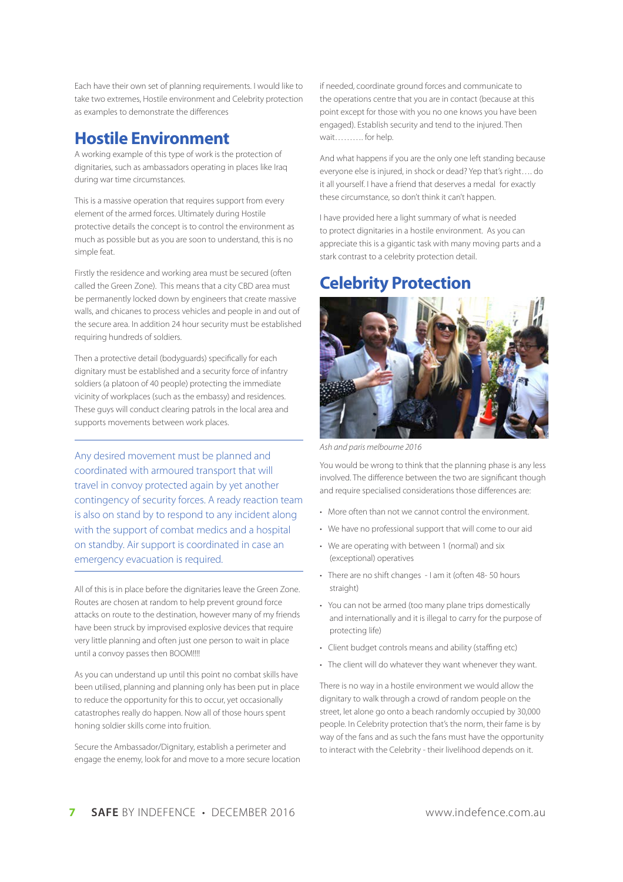Each have their own set of planning requirements. I would like to take two extremes, Hostile environment and Celebrity protection as examples to demonstrate the differences

## **Hostile Environment**

A working example of this type of work is the protection of dignitaries, such as ambassadors operating in places like Iraq during war time circumstances.

This is a massive operation that requires support from every element of the armed forces. Ultimately during Hostile protective details the concept is to control the environment as much as possible but as you are soon to understand, this is no simple feat.

Firstly the residence and working area must be secured (often called the Green Zone). This means that a city CBD area must be permanently locked down by engineers that create massive walls, and chicanes to process vehicles and people in and out of the secure area. In addition 24 hour security must be established requiring hundreds of soldiers.

Then a protective detail (bodyguards) specifically for each dignitary must be established and a security force of infantry soldiers (a platoon of 40 people) protecting the immediate vicinity of workplaces (such as the embassy) and residences. These guys will conduct clearing patrols in the local area and supports movements between work places.

Any desired movement must be planned and coordinated with armoured transport that will travel in convoy protected again by yet another contingency of security forces. A ready reaction team is also on stand by to respond to any incident along with the support of combat medics and a hospital on standby. Air support is coordinated in case an emergency evacuation is required.

All of this is in place before the dignitaries leave the Green Zone. Routes are chosen at random to help prevent ground force attacks on route to the destination, however many of my friends have been struck by improvised explosive devices that require very little planning and often just one person to wait in place until a convoy passes then BOOM!!!!

As you can understand up until this point no combat skills have been utilised, planning and planning only has been put in place to reduce the opportunity for this to occur, yet occasionally catastrophes really do happen. Now all of those hours spent honing soldier skills come into fruition.

Secure the Ambassador/Dignitary, establish a perimeter and engage the enemy, look for and move to a more secure location if needed, coordinate ground forces and communicate to the operations centre that you are in contact (because at this point except for those with you no one knows you have been engaged). Establish security and tend to the injured. Then wait………. for help.

And what happens if you are the only one left standing because everyone else is injured, in shock or dead? Yep that's right…. do it all yourself. I have a friend that deserves a medal for exactly these circumstance, so don't think it can't happen.

I have provided here a light summary of what is needed to protect dignitaries in a hostile environment. As you can appreciate this is a gigantic task with many moving parts and a stark contrast to a celebrity protection detail.

# **Celebrity Protection**



*Ash and paris melbourne 2016*

You would be wrong to think that the planning phase is any less involved. The difference between the two are significant though and require specialised considerations those differences are:

- More often than not we cannot control the environment.
- We have no professional support that will come to our aid
- We are operating with between 1 (normal) and six (exceptional) operatives
- There are no shift changes I am it (often 48- 50 hours straight)
- You can not be armed (too many plane trips domestically and internationally and it is illegal to carry for the purpose of protecting life)
- Client budget controls means and ability (staffing etc)
- The client will do whatever they want whenever they want.

There is no way in a hostile environment we would allow the dignitary to walk through a crowd of random people on the street, let alone go onto a beach randomly occupied by 30,000 people. In Celebrity protection that's the norm, their fame is by way of the fans and as such the fans must have the opportunity to interact with the Celebrity - their livelihood depends on it.